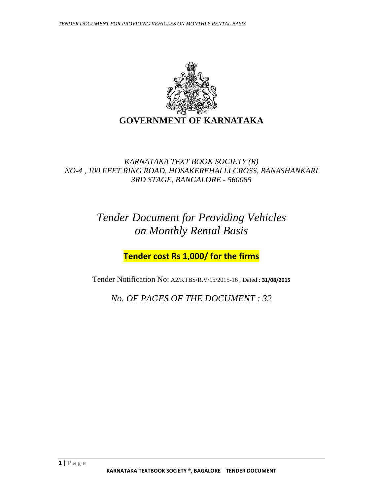

#### *KARNATAKA TEXT BOOK SOCIETY (R) NO-4 , 100 FEET RING ROAD, HOSAKEREHALLI CROSS, BANASHANKARI 3RD STAGE, BANGALORE - 560085*

## *Tender Document for Providing Vehicles on Monthly Rental Basis*

**Tender cost Rs 1,000/ for the firms**

Tender Notification No: A2/KTBS/R.V/15/2015-16 , Dated : **31/08/2015**

*No. OF PAGES OF THE DOCUMENT : 32*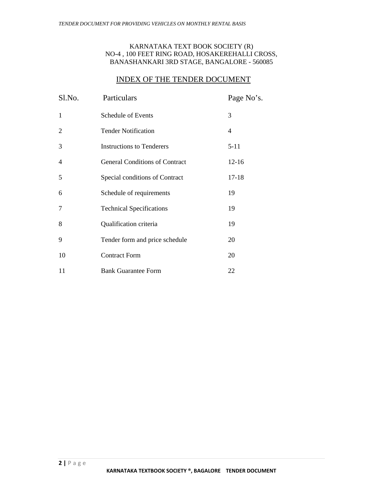#### KARNATAKA TEXT BOOK SOCIETY (R) NO-4 , 100 FEET RING ROAD, HOSAKEREHALLI CROSS, BANASHANKARI 3RD STAGE, BANGALORE - 560085

#### INDEX OF THE TENDER DOCUMENT

| Sl.No.         | Particulars                           | Page No's. |
|----------------|---------------------------------------|------------|
| $\mathbf{1}$   | Schedule of Events                    | 3          |
| $\overline{2}$ | <b>Tender Notification</b>            | 4          |
| 3              | <b>Instructions to Tenderers</b>      | $5 - 11$   |
| 4              | <b>General Conditions of Contract</b> | $12 - 16$  |
| 5              | Special conditions of Contract        | $17 - 18$  |
| 6              | Schedule of requirements              | 19         |
| 7              | <b>Technical Specifications</b>       | 19         |
| 8              | Qualification criteria                | 19         |
| 9              | Tender form and price schedule        | 20         |
| 10             | <b>Contract Form</b>                  | 20         |
| 11             | <b>Bank Guarantee Form</b>            | 22         |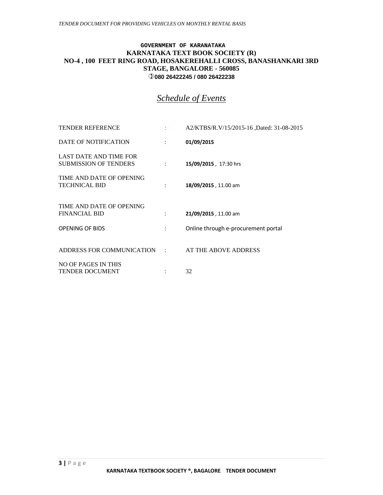#### **GOVERNMENT OF KARANATAKA KARNATAKA TEXT BOOK SOCIETY (R) NO-4 , 100 FEET RING ROAD, HOSAKEREHALLI CROSS, BANASHANKARI 3RD STAGE, BANGALORE - 560085 080 26422245 / 080 26422238**

#### *Schedule of Events*

| <b>TENDER REFERENCE</b>                                |      | A2/KTBS/R.V/15/2015-16 ,Dated: 31-08-2015 |
|--------------------------------------------------------|------|-------------------------------------------|
| DATE OF NOTIFICATION                                   | ÷    | 01/09/2015                                |
| LAST DATE AND TIME FOR<br><b>SUBMISSION OF TENDERS</b> |      | 15/09/2015, 17:30 hrs                     |
| TIME AND DATE OF OPENING<br><b>TECHNICAL BID</b>       |      | 18/09/2015, 11.00 am                      |
| TIME AND DATE OF OPENING<br><b>FINANCIAL BID</b>       | t in | 21/09/2015, 11.00 am                      |
| <b>OPENING OF BIDS</b>                                 |      | Online through e-procurement portal       |
| ADDRESS FOR COMMUNICATION : AT THE ABOVE ADDRESS       |      |                                           |
| <b>NO OF PAGES IN THIS</b><br><b>TENDER DOCUMENT</b>   |      | 32                                        |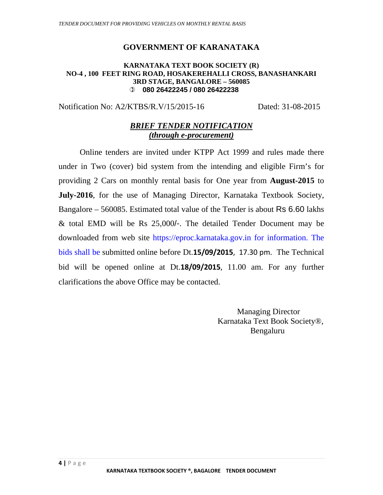#### **GOVERNMENT OF KARANATAKA**

#### **KARNATAKA TEXT BOOK SOCIETY (R) NO-4 , 100 FEET RING ROAD, HOSAKEREHALLI CROSS, BANASHANKARI 3RD STAGE, BANGALORE – 560085 080 26422245 / 080 26422238**

Notification No: A2/KTBS/R.V/15/2015-16 Dated: 31-08-2015

#### *BRIEF TENDER NOTIFICATION (through e-procurement)*

Online tenders are invited under KTPP Act 1999 and rules made there under in Two (cover) bid system from the intending and eligible Firm's for providing 2 Cars on monthly rental basis for One year from **August-2015** to **July-2016**, for the use of Managing Director, Karnataka Textbook Society, Bangalore – 560085. Estimated total value of the Tender is about Rs 6.60 lakhs & total EMD will be Rs 25,000/-. The detailed Tender Document may be downloaded from web site https://eproc.karnataka.gov.in for information. The bids shall be submitted online before Dt.**15/09/2015**, 17.30 pm. The Technical bid will be opened online at Dt.**18/09/2015**, 11.00 am. For any further clarifications the above Office may be contacted.

> Managing Director Karnataka Text Book Society®, Bengaluru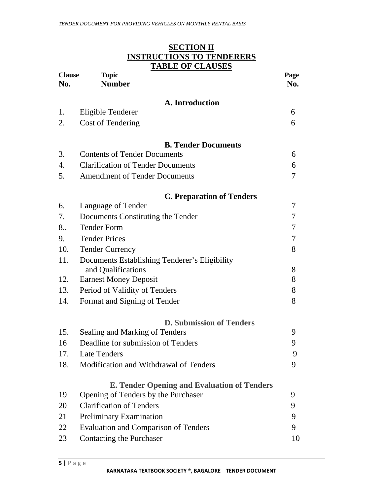|                      | SECTION II<br><b>INSTRUCTIONS TO TENDERERS</b>     |             |
|----------------------|----------------------------------------------------|-------------|
|                      | <b>TABLE OF CLAUSES</b>                            |             |
| <b>Clause</b><br>No. | <b>Topic</b><br><b>Number</b>                      | Page<br>No. |
|                      |                                                    |             |
| 1.                   | A. Introduction                                    | 6           |
| 2.                   | Eligible Tenderer<br><b>Cost of Tendering</b>      | 6           |
|                      |                                                    |             |
|                      | <b>B. Tender Documents</b>                         |             |
| 3.                   | <b>Contents of Tender Documents</b>                | 6           |
| 4.                   | <b>Clarification of Tender Documents</b>           | 6           |
| 5.                   | <b>Amendment of Tender Documents</b>               | 7           |
|                      | <b>C. Preparation of Tenders</b>                   |             |
| 6.                   | Language of Tender                                 | 7           |
| 7.                   | Documents Constituting the Tender                  | 7           |
| 8                    | <b>Tender Form</b>                                 | 7           |
| 9.                   | <b>Tender Prices</b>                               | 7           |
| 10.                  | <b>Tender Currency</b>                             | 8           |
| 11.                  | Documents Establishing Tenderer's Eligibility      |             |
|                      | and Qualifications                                 | 8           |
| 12.                  | <b>Earnest Money Deposit</b>                       | 8           |
| 13.                  | Period of Validity of Tenders                      | 8           |
| 14.                  | Format and Signing of Tender                       | 8           |
|                      | <b>D. Submission of Tenders</b>                    |             |
| 15.                  | Sealing and Marking of Tenders                     | 9           |
| 16                   | Deadline for submission of Tenders                 | 9           |
| 17.                  | <b>Late Tenders</b>                                | 9           |
| 18.                  | Modification and Withdrawal of Tenders             | 9           |
|                      | <b>E. Tender Opening and Evaluation of Tenders</b> |             |
| 19                   | Opening of Tenders by the Purchaser                | 9           |
| 20                   | <b>Clarification of Tenders</b>                    | 9           |
| 21                   | Preliminary Examination                            | 9           |
| 22                   | <b>Evaluation and Comparison of Tenders</b>        | 9           |
| 23                   | <b>Contacting the Purchaser</b>                    | 10          |

# **SECTION II**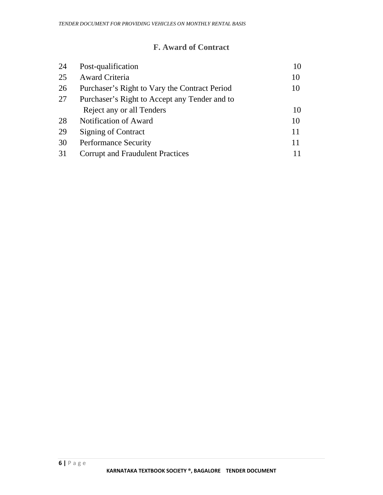#### **F. Award of Contract**

| 24 | Post-qualification                            | 10 |
|----|-----------------------------------------------|----|
| 25 | <b>Award Criteria</b>                         | 10 |
| 26 | Purchaser's Right to Vary the Contract Period | 10 |
| 27 | Purchaser's Right to Accept any Tender and to |    |
|    | Reject any or all Tenders                     | 10 |
| 28 | Notification of Award                         | 10 |
| 29 | <b>Signing of Contract</b>                    | 11 |
| 30 | <b>Performance Security</b>                   | 11 |
| 31 | <b>Corrupt and Fraudulent Practices</b>       |    |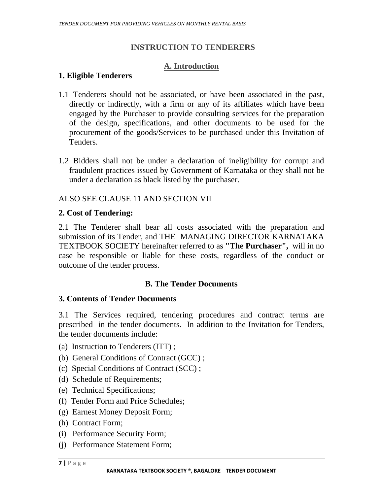#### **INSTRUCTION TO TENDERERS**

#### **A. Introduction**

#### **1. Eligible Tenderers**

- 1.1 Tenderers should not be associated, or have been associated in the past, directly or indirectly, with a firm or any of its affiliates which have been engaged by the Purchaser to provide consulting services for the preparation of the design, specifications, and other documents to be used for the procurement of the goods/Services to be purchased under this Invitation of Tenders.
- 1.2 Bidders shall not be under a declaration of ineligibility for corrupt and fraudulent practices issued by Government of Karnataka or they shall not be under a declaration as black listed by the purchaser.

#### ALSO SEE CLAUSE 11 AND SECTION VII

#### **2. Cost of Tendering:**

2.1 The Tenderer shall bear all costs associated with the preparation and submission of its Tender, and THE MANAGING DIRECTOR KARNATAKA TEXTBOOK SOCIETY hereinafter referred to as **"The Purchaser",** will in no case be responsible or liable for these costs, regardless of the conduct or outcome of the tender process.

#### **B. The Tender Documents**

#### **3. Contents of Tender Documents**

3.1 The Services required, tendering procedures and contract terms are prescribed in the tender documents. In addition to the Invitation for Tenders, the tender documents include:

- (a) Instruction to Tenderers (ITT) ;
- (b) General Conditions of Contract (GCC) ;
- (c) Special Conditions of Contract (SCC) ;
- (d) Schedule of Requirements;
- (e) Technical Specifications;
- (f) Tender Form and Price Schedules;
- (g) Earnest Money Deposit Form;
- (h) Contract Form;
- (i) Performance Security Form;
- (j) Performance Statement Form;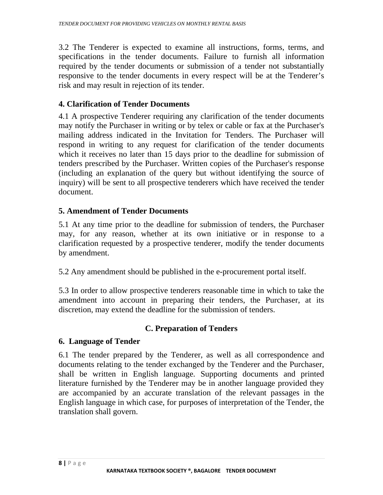3.2 The Tenderer is expected to examine all instructions, forms, terms, and specifications in the tender documents. Failure to furnish all information required by the tender documents or submission of a tender not substantially responsive to the tender documents in every respect will be at the Tenderer's risk and may result in rejection of its tender.

#### **4. Clarification of Tender Documents**

4.1 A prospective Tenderer requiring any clarification of the tender documents may notify the Purchaser in writing or by telex or cable or fax at the Purchaser's mailing address indicated in the Invitation for Tenders. The Purchaser will respond in writing to any request for clarification of the tender documents which it receives no later than 15 days prior to the deadline for submission of tenders prescribed by the Purchaser. Written copies of the Purchaser's response (including an explanation of the query but without identifying the source of inquiry) will be sent to all prospective tenderers which have received the tender document.

#### **5. Amendment of Tender Documents**

5.1 At any time prior to the deadline for submission of tenders, the Purchaser may, for any reason, whether at its own initiative or in response to a clarification requested by a prospective tenderer, modify the tender documents by amendment.

5.2 Any amendment should be published in the e-procurement portal itself.

5.3 In order to allow prospective tenderers reasonable time in which to take the amendment into account in preparing their tenders, the Purchaser, at its discretion, may extend the deadline for the submission of tenders.

#### **C. Preparation of Tenders**

#### **6. Language of Tender**

6.1 The tender prepared by the Tenderer, as well as all correspondence and documents relating to the tender exchanged by the Tenderer and the Purchaser, shall be written in English language. Supporting documents and printed literature furnished by the Tenderer may be in another language provided they are accompanied by an accurate translation of the relevant passages in the English language in which case, for purposes of interpretation of the Tender, the translation shall govern.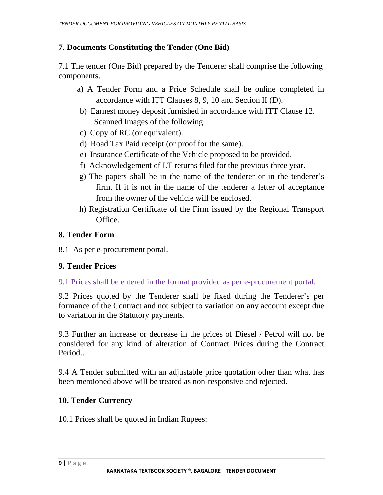#### **7. Documents Constituting the Tender (One Bid)**

7.1 The tender (One Bid) prepared by the Tenderer shall comprise the following components.

- a) A Tender Form and a Price Schedule shall be online completed in accordance with ITT Clauses 8, 9, 10 and Section II (D).
- b) Earnest money deposit furnished in accordance with ITT Clause 12. Scanned Images of the following
- c) Copy of RC (or equivalent).
- d) Road Tax Paid receipt (or proof for the same).
- e) Insurance Certificate of the Vehicle proposed to be provided.
- f) Acknowledgement of I.T returns filed for the previous three year.
- g) The papers shall be in the name of the tenderer or in the tenderer's firm. If it is not in the name of the tenderer a letter of acceptance from the owner of the vehicle will be enclosed.
- h) Registration Certificate of the Firm issued by the Regional Transport Office.

#### **8. Tender Form**

8.1 As per e-procurement portal.

#### **9. Tender Prices**

9.1 Prices shall be entered in the format provided as per e-procurement portal.

9.2 Prices quoted by the Tenderer shall be fixed during the Tenderer's per formance of the Contract and not subject to variation on any account except due to variation in the Statutory payments.

9.3 Further an increase or decrease in the prices of Diesel / Petrol will not be considered for any kind of alteration of Contract Prices during the Contract Period..

9.4 A Tender submitted with an adjustable price quotation other than what has been mentioned above will be treated as non-responsive and rejected.

#### **10. Tender Currency**

10.1 Prices shall be quoted in Indian Rupees: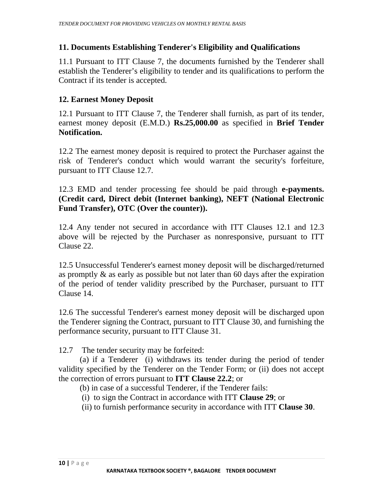#### **11. Documents Establishing Tenderer's Eligibility and Qualifications**

11.1 Pursuant to ITT Clause 7, the documents furnished by the Tenderer shall establish the Tenderer's eligibility to tender and its qualifications to perform the Contract if its tender is accepted.

#### **12. Earnest Money Deposit**

12.1 Pursuant to ITT Clause 7, the Tenderer shall furnish, as part of its tender, earnest money deposit (E.M.D.) **Rs.25,000.00** as specified in **Brief Tender Notification.**

12.2 The earnest money deposit is required to protect the Purchaser against the risk of Tenderer's conduct which would warrant the security's forfeiture, pursuant to ITT Clause 12.7.

12.3 EMD and tender processing fee should be paid through **e-payments. (Credit card, Direct debit (Internet banking), NEFT (National Electronic Fund Transfer), OTC (Over the counter)).** 

12.4 Any tender not secured in accordance with ITT Clauses 12.1 and 12.3 above will be rejected by the Purchaser as nonresponsive, pursuant to ITT Clause 22.

12.5 Unsuccessful Tenderer's earnest money deposit will be discharged/returned as promptly & as early as possible but not later than 60 days after the expiration of the period of tender validity prescribed by the Purchaser, pursuant to ITT Clause 14.

12.6 The successful Tenderer's earnest money deposit will be discharged upon the Tenderer signing the Contract, pursuant to ITT Clause 30, and furnishing the performance security, pursuant to ITT Clause 31.

12.7 The tender security may be forfeited:

 (a) if a Tenderer (i) withdraws its tender during the period of tender validity specified by the Tenderer on the Tender Form; or (ii) does not accept the correction of errors pursuant to **ITT Clause 22.2**; or

- (b) in case of a successful Tenderer, if the Tenderer fails:
- (i) to sign the Contract in accordance with ITT **Clause 29**; or
- (ii) to furnish performance security in accordance with ITT **Clause 30**.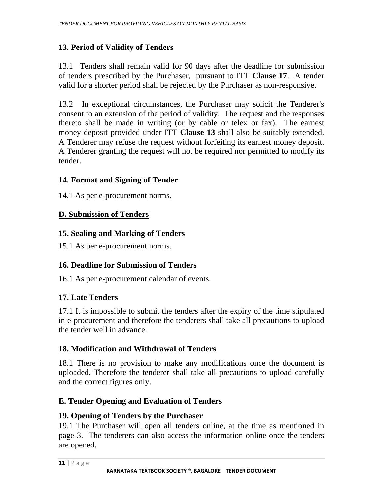## **13. Period of Validity of Tenders**

13.1 Tenders shall remain valid for 90 days after the deadline for submission of tenders prescribed by the Purchaser, pursuant to ITT **Clause 17**. A tender valid for a shorter period shall be rejected by the Purchaser as non-responsive.

13.2 In exceptional circumstances, the Purchaser may solicit the Tenderer's consent to an extension of the period of validity. The request and the responses thereto shall be made in writing (or by cable or telex or fax). The earnest money deposit provided under ITT **Clause 13** shall also be suitably extended. A Tenderer may refuse the request without forfeiting its earnest money deposit. A Tenderer granting the request will not be required nor permitted to modify its tender.

#### **14. Format and Signing of Tender**

14.1 As per e-procurement norms.

#### **D. Submission of Tenders**

#### **15. Sealing and Marking of Tenders**

15.1 As per e-procurement norms.

#### **16. Deadline for Submission of Tenders**

16.1 As per e-procurement calendar of events.

#### **17. Late Tenders**

17.1 It is impossible to submit the tenders after the expiry of the time stipulated in e-procurement and therefore the tenderers shall take all precautions to upload the tender well in advance.

#### **18. Modification and Withdrawal of Tenders**

18.1 There is no provision to make any modifications once the document is uploaded. Therefore the tenderer shall take all precautions to upload carefully and the correct figures only.

#### **E. Tender Opening and Evaluation of Tenders**

#### **19. Opening of Tenders by the Purchaser**

19.1 The Purchaser will open all tenders online, at the time as mentioned in page-3. The tenderers can also access the information online once the tenders are opened.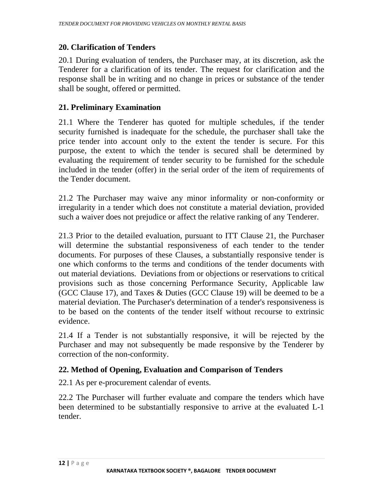#### **20. Clarification of Tenders**

20.1 During evaluation of tenders, the Purchaser may, at its discretion, ask the Tenderer for a clarification of its tender. The request for clarification and the response shall be in writing and no change in prices or substance of the tender shall be sought, offered or permitted.

#### **21. Preliminary Examination**

21.1 Where the Tenderer has quoted for multiple schedules, if the tender security furnished is inadequate for the schedule, the purchaser shall take the price tender into account only to the extent the tender is secure. For this purpose, the extent to which the tender is secured shall be determined by evaluating the requirement of tender security to be furnished for the schedule included in the tender (offer) in the serial order of the item of requirements of the Tender document.

21.2 The Purchaser may waive any minor informality or non-conformity or irregularity in a tender which does not constitute a material deviation, provided such a waiver does not prejudice or affect the relative ranking of any Tenderer.

21.3 Prior to the detailed evaluation, pursuant to ITT Clause 21, the Purchaser will determine the substantial responsiveness of each tender to the tender documents. For purposes of these Clauses, a substantially responsive tender is one which conforms to the terms and conditions of the tender documents with out material deviations. Deviations from or objections or reservations to critical provisions such as those concerning Performance Security, Applicable law (GCC Clause 17), and Taxes & Duties (GCC Clause 19) will be deemed to be a material deviation. The Purchaser's determination of a tender's responsiveness is to be based on the contents of the tender itself without recourse to extrinsic evidence.

21.4 If a Tender is not substantially responsive, it will be rejected by the Purchaser and may not subsequently be made responsive by the Tenderer by correction of the non-conformity.

#### **22. Method of Opening, Evaluation and Comparison of Tenders**

22.1 As per e-procurement calendar of events.

22.2 The Purchaser will further evaluate and compare the tenders which have been determined to be substantially responsive to arrive at the evaluated L-1 tender.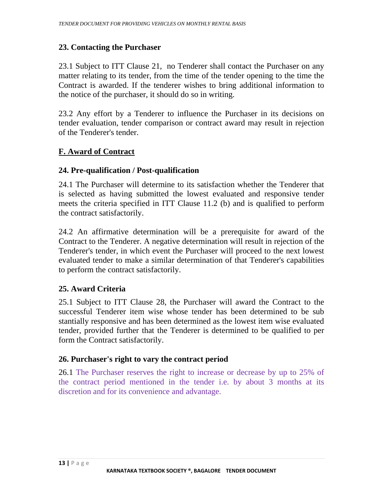#### **23. Contacting the Purchaser**

23.1 Subject to ITT Clause 21, no Tenderer shall contact the Purchaser on any matter relating to its tender, from the time of the tender opening to the time the Contract is awarded. If the tenderer wishes to bring additional information to the notice of the purchaser, it should do so in writing.

23.2 Any effort by a Tenderer to influence the Purchaser in its decisions on tender evaluation, tender comparison or contract award may result in rejection of the Tenderer's tender.

#### **F. Award of Contract**

#### **24. Pre-qualification / Post-qualification**

24.1 The Purchaser will determine to its satisfaction whether the Tenderer that is selected as having submitted the lowest evaluated and responsive tender meets the criteria specified in ITT Clause 11.2 (b) and is qualified to perform the contract satisfactorily.

24.2 An affirmative determination will be a prerequisite for award of the Contract to the Tenderer. A negative determination will result in rejection of the Tenderer's tender, in which event the Purchaser will proceed to the next lowest evaluated tender to make a similar determination of that Tenderer's capabilities to perform the contract satisfactorily.

#### **25. Award Criteria**

25.1 Subject to ITT Clause 28, the Purchaser will award the Contract to the successful Tenderer item wise whose tender has been determined to be sub stantially responsive and has been determined as the lowest item wise evaluated tender, provided further that the Tenderer is determined to be qualified to per form the Contract satisfactorily.

#### **26. Purchaser's right to vary the contract period**

26.1 The Purchaser reserves the right to increase or decrease by up to 25% of the contract period mentioned in the tender i.e. by about 3 months at its discretion and for its convenience and advantage.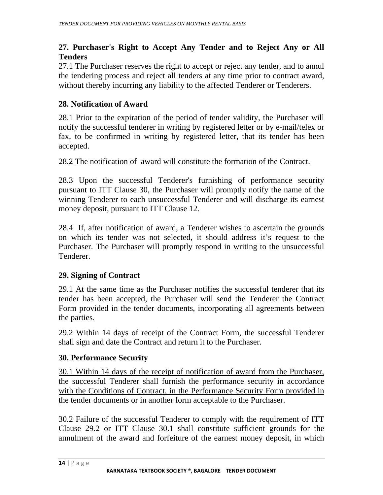#### **27. Purchaser's Right to Accept Any Tender and to Reject Any or All Tenders**

27.1 The Purchaser reserves the right to accept or reject any tender, and to annul the tendering process and reject all tenders at any time prior to contract award, without thereby incurring any liability to the affected Tenderer or Tenderers.

#### **28. Notification of Award**

28.1 Prior to the expiration of the period of tender validity, the Purchaser will notify the successful tenderer in writing by registered letter or by e-mail/telex or fax, to be confirmed in writing by registered letter, that its tender has been accepted.

28.2 The notification of award will constitute the formation of the Contract.

28.3 Upon the successful Tenderer's furnishing of performance security pursuant to ITT Clause 30, the Purchaser will promptly notify the name of the winning Tenderer to each unsuccessful Tenderer and will discharge its earnest money deposit, pursuant to ITT Clause 12.

28.4 If, after notification of award, a Tenderer wishes to ascertain the grounds on which its tender was not selected, it should address it's request to the Purchaser. The Purchaser will promptly respond in writing to the unsuccessful Tenderer.

#### **29. Signing of Contract**

29.1 At the same time as the Purchaser notifies the successful tenderer that its tender has been accepted, the Purchaser will send the Tenderer the Contract Form provided in the tender documents, incorporating all agreements between the parties.

29.2 Within 14 days of receipt of the Contract Form, the successful Tenderer shall sign and date the Contract and return it to the Purchaser.

#### **30. Performance Security**

30.1 Within 14 days of the receipt of notification of award from the Purchaser, the successful Tenderer shall furnish the performance security in accordance with the Conditions of Contract, in the Performance Security Form provided in the tender documents or in another form acceptable to the Purchaser.

30.2 Failure of the successful Tenderer to comply with the requirement of ITT Clause 29.2 or ITT Clause 30.1 shall constitute sufficient grounds for the annulment of the award and forfeiture of the earnest money deposit, in which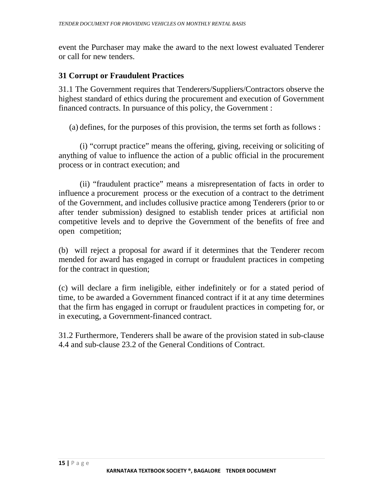event the Purchaser may make the award to the next lowest evaluated Tenderer or call for new tenders.

#### **31 Corrupt or Fraudulent Practices**

31.1 The Government requires that Tenderers/Suppliers/Contractors observe the highest standard of ethics during the procurement and execution of Government financed contracts. In pursuance of this policy, the Government :

(a) defines, for the purposes of this provision, the terms set forth as follows :

 (i) "corrupt practice" means the offering, giving, receiving or soliciting of anything of value to influence the action of a public official in the procurement process or in contract execution; and

 (ii) "fraudulent practice" means a misrepresentation of facts in order to influence a procurement process or the execution of a contract to the detriment of the Government, and includes collusive practice among Tenderers (prior to or after tender submission) designed to establish tender prices at artificial non competitive levels and to deprive the Government of the benefits of free and open competition;

(b) will reject a proposal for award if it determines that the Tenderer recom mended for award has engaged in corrupt or fraudulent practices in competing for the contract in question;

(c) will declare a firm ineligible, either indefinitely or for a stated period of time, to be awarded a Government financed contract if it at any time determines that the firm has engaged in corrupt or fraudulent practices in competing for, or in executing, a Government-financed contract.

31.2 Furthermore, Tenderers shall be aware of the provision stated in sub-clause 4.4 and sub-clause 23.2 of the General Conditions of Contract.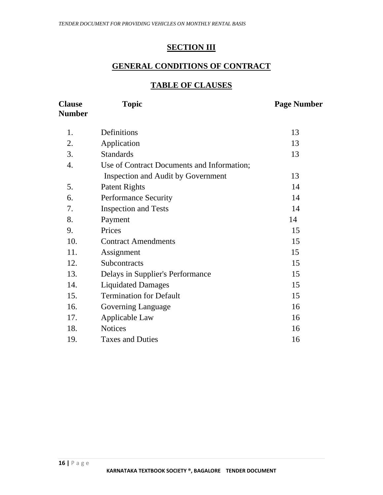#### **SECTION III**

#### **GENERAL CONDITIONS OF CONTRACT**

#### **TABLE OF CLAUSES**

| <b>Clause</b><br><b>Number</b> | <b>Topic</b>                                                                     | <b>Page Number</b> |
|--------------------------------|----------------------------------------------------------------------------------|--------------------|
| 1.                             | Definitions                                                                      | 13                 |
| 2.                             | Application                                                                      | 13                 |
| 3.                             | <b>Standards</b>                                                                 | 13                 |
| 4.                             | Use of Contract Documents and Information;<br>Inspection and Audit by Government | 13                 |
| 5.                             | Patent Rights                                                                    | 14                 |
| 6.                             | <b>Performance Security</b>                                                      | 14                 |
| 7.                             | <b>Inspection and Tests</b>                                                      | 14                 |
| 8.                             | Payment                                                                          | 14                 |
| 9.                             | Prices                                                                           | 15                 |
| 10.                            | <b>Contract Amendments</b>                                                       | 15                 |
| 11.                            | Assignment                                                                       | 15                 |
| 12.                            | Subcontracts                                                                     | 15                 |
| 13.                            | Delays in Supplier's Performance                                                 | 15                 |
| 14.                            | <b>Liquidated Damages</b>                                                        | 15                 |
| 15.                            | <b>Termination for Default</b>                                                   | 15                 |
| 16.                            | Governing Language                                                               | 16                 |
| 17.                            | Applicable Law                                                                   | 16                 |
| 18.                            | <b>Notices</b>                                                                   | 16                 |
| 19.                            | <b>Taxes and Duties</b>                                                          | 16                 |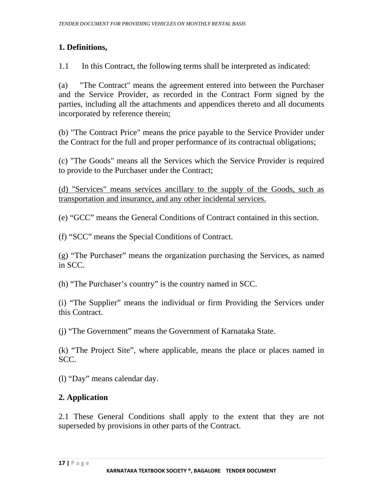## **1. Definitions,**

1.1 In this Contract, the following terms shall be interpreted as indicated:

(a) "The Contract" means the agreement entered into between the Purchaser and the Service Provider, as recorded in the Contract Form signed by the parties, including all the attachments and appendices thereto and all documents incorporated by reference therein;

(b) "The Contract Price" means the price payable to the Service Provider under the Contract for the full and proper performance of its contractual obligations;

(c) "The Goods" means all the Services which the Service Provider is required to provide to the Purchaser under the Contract;

(d) "Services" means services ancillary to the supply of the Goods, such as transportation and insurance, and any other incidental services.

(e) "GCC" means the General Conditions of Contract contained in this section.

(f) "SCC" means the Special Conditions of Contract.

(g) "The Purchaser" means the organization purchasing the Services, as named in SCC.

(h) "The Purchaser's country" is the country named in SCC.

(i) "The Supplier" means the individual or firm Providing the Services under this Contract.

(j) "The Government" means the Government of Karnataka State.

(k) "The Project Site", where applicable, means the place or places named in SCC.

(l) "Day" means calendar day.

## **2. Application**

2.1 These General Conditions shall apply to the extent that they are not superseded by provisions in other parts of the Contract.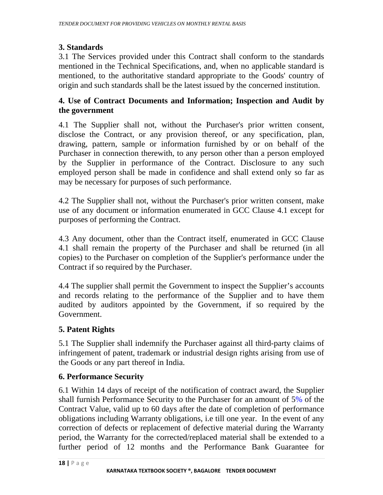#### **3. Standards**

3.1 The Services provided under this Contract shall conform to the standards mentioned in the Technical Specifications, and, when no applicable standard is mentioned, to the authoritative standard appropriate to the Goods' country of origin and such standards shall be the latest issued by the concerned institution.

#### **4. Use of Contract Documents and Information; Inspection and Audit by the government**

4.1 The Supplier shall not, without the Purchaser's prior written consent, disclose the Contract, or any provision thereof, or any specification, plan, drawing, pattern, sample or information furnished by or on behalf of the Purchaser in connection therewith, to any person other than a person employed by the Supplier in performance of the Contract. Disclosure to any such employed person shall be made in confidence and shall extend only so far as may be necessary for purposes of such performance.

4.2 The Supplier shall not, without the Purchaser's prior written consent, make use of any document or information enumerated in GCC Clause 4.1 except for purposes of performing the Contract.

4.3 Any document, other than the Contract itself, enumerated in GCC Clause 4.1 shall remain the property of the Purchaser and shall be returned (in all copies) to the Purchaser on completion of the Supplier's performance under the Contract if so required by the Purchaser.

4.4 The supplier shall permit the Government to inspect the Supplier's accounts and records relating to the performance of the Supplier and to have them audited by auditors appointed by the Government, if so required by the Government.

## **5. Patent Rights**

5.1 The Supplier shall indemnify the Purchaser against all third-party claims of infringement of patent, trademark or industrial design rights arising from use of the Goods or any part thereof in India.

#### **6. Performance Security**

6.1 Within 14 days of receipt of the notification of contract award, the Supplier shall furnish Performance Security to the Purchaser for an amount of 5% of the Contract Value, valid up to 60 days after the date of completion of performance obligations including Warranty obligations, i.e till one year. In the event of any correction of defects or replacement of defective material during the Warranty period, the Warranty for the corrected/replaced material shall be extended to a further period of 12 months and the Performance Bank Guarantee for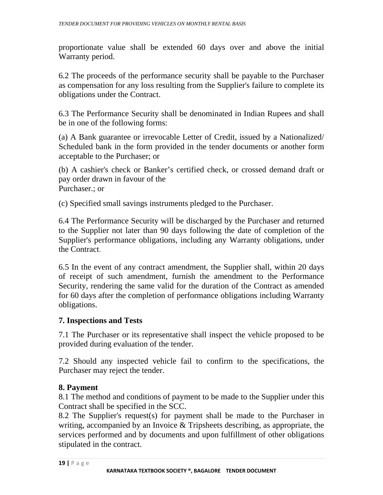proportionate value shall be extended 60 days over and above the initial Warranty period.

6.2 The proceeds of the performance security shall be payable to the Purchaser as compensation for any loss resulting from the Supplier's failure to complete its obligations under the Contract.

6.3 The Performance Security shall be denominated in Indian Rupees and shall be in one of the following forms:

(a) A Bank guarantee or irrevocable Letter of Credit, issued by a Nationalized/ Scheduled bank in the form provided in the tender documents or another form acceptable to the Purchaser; or

(b) A cashier's check or Banker's certified check, or crossed demand draft or pay order drawn in favour of the Purchaser.; or

(c) Specified small savings instruments pledged to the Purchaser.

6.4 The Performance Security will be discharged by the Purchaser and returned to the Supplier not later than 90 days following the date of completion of the Supplier's performance obligations, including any Warranty obligations, under the Contract.

6.5 In the event of any contract amendment, the Supplier shall, within 20 days of receipt of such amendment, furnish the amendment to the Performance Security, rendering the same valid for the duration of the Contract as amended for 60 days after the completion of performance obligations including Warranty obligations.

#### **7. Inspections and Tests**

7.1 The Purchaser or its representative shall inspect the vehicle proposed to be provided during evaluation of the tender.

7.2 Should any inspected vehicle fail to confirm to the specifications, the Purchaser may reject the tender.

#### **8. Payment**

8.1 The method and conditions of payment to be made to the Supplier under this Contract shall be specified in the SCC.

8.2 The Supplier's request(s) for payment shall be made to the Purchaser in writing, accompanied by an Invoice & Tripsheets describing, as appropriate, the services performed and by documents and upon fulfillment of other obligations stipulated in the contract.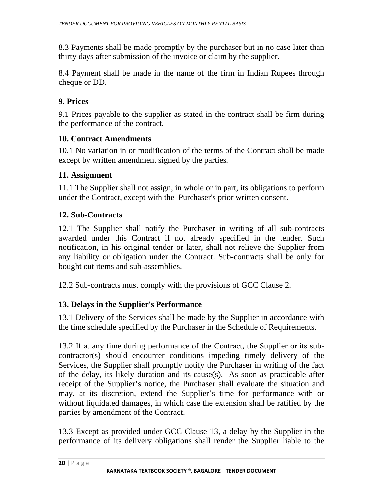8.3 Payments shall be made promptly by the purchaser but in no case later than thirty days after submission of the invoice or claim by the supplier.

8.4 Payment shall be made in the name of the firm in Indian Rupees through cheque or DD.

#### **9. Prices**

9.1 Prices payable to the supplier as stated in the contract shall be firm during the performance of the contract.

#### **10. Contract Amendments**

10.1 No variation in or modification of the terms of the Contract shall be made except by written amendment signed by the parties.

#### **11. Assignment**

11.1 The Supplier shall not assign, in whole or in part, its obligations to perform under the Contract, except with the Purchaser's prior written consent.

#### **12. Sub-Contracts**

12.1 The Supplier shall notify the Purchaser in writing of all sub-contracts awarded under this Contract if not already specified in the tender. Such notification, in his original tender or later, shall not relieve the Supplier from any liability or obligation under the Contract. Sub-contracts shall be only for bought out items and sub-assemblies.

12.2 Sub-contracts must comply with the provisions of GCC Clause 2.

## **13. Delays in the Supplier's Performance**

13.1 Delivery of the Services shall be made by the Supplier in accordance with the time schedule specified by the Purchaser in the Schedule of Requirements.

13.2 If at any time during performance of the Contract, the Supplier or its subcontractor(s) should encounter conditions impeding timely delivery of the Services, the Supplier shall promptly notify the Purchaser in writing of the fact of the delay, its likely duration and its cause(s). As soon as practicable after receipt of the Supplier's notice, the Purchaser shall evaluate the situation and may, at its discretion, extend the Supplier's time for performance with or without liquidated damages, in which case the extension shall be ratified by the parties by amendment of the Contract.

13.3 Except as provided under GCC Clause 13, a delay by the Supplier in the performance of its delivery obligations shall render the Supplier liable to the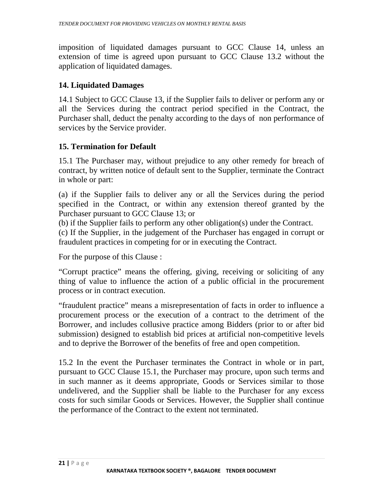imposition of liquidated damages pursuant to GCC Clause 14, unless an extension of time is agreed upon pursuant to GCC Clause 13.2 without the application of liquidated damages.

#### **14. Liquidated Damages**

14.1 Subject to GCC Clause 13, if the Supplier fails to deliver or perform any or all the Services during the contract period specified in the Contract, the Purchaser shall, deduct the penalty according to the days of non performance of services by the Service provider.

#### **15. Termination for Default**

15.1 The Purchaser may, without prejudice to any other remedy for breach of contract, by written notice of default sent to the Supplier, terminate the Contract in whole or part:

(a) if the Supplier fails to deliver any or all the Services during the period specified in the Contract, or within any extension thereof granted by the Purchaser pursuant to GCC Clause 13; or

(b) if the Supplier fails to perform any other obligation(s) under the Contract.

(c) If the Supplier, in the judgement of the Purchaser has engaged in corrupt or fraudulent practices in competing for or in executing the Contract.

For the purpose of this Clause :

"Corrupt practice" means the offering, giving, receiving or soliciting of any thing of value to influence the action of a public official in the procurement process or in contract execution.

"fraudulent practice" means a misrepresentation of facts in order to influence a procurement process or the execution of a contract to the detriment of the Borrower, and includes collusive practice among Bidders (prior to or after bid submission) designed to establish bid prices at artificial non-competitive levels and to deprive the Borrower of the benefits of free and open competition.

15.2 In the event the Purchaser terminates the Contract in whole or in part, pursuant to GCC Clause 15.1, the Purchaser may procure, upon such terms and in such manner as it deems appropriate, Goods or Services similar to those undelivered, and the Supplier shall be liable to the Purchaser for any excess costs for such similar Goods or Services. However, the Supplier shall continue the performance of the Contract to the extent not terminated.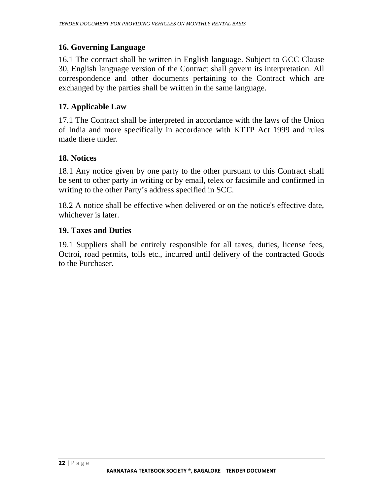#### **16. Governing Language**

16.1 The contract shall be written in English language. Subject to GCC Clause 30, English language version of the Contract shall govern its interpretation. All correspondence and other documents pertaining to the Contract which are exchanged by the parties shall be written in the same language.

#### **17. Applicable Law**

17.1 The Contract shall be interpreted in accordance with the laws of the Union of India and more specifically in accordance with KTTP Act 1999 and rules made there under.

#### **18. Notices**

18.1 Any notice given by one party to the other pursuant to this Contract shall be sent to other party in writing or by email, telex or facsimile and confirmed in writing to the other Party's address specified in SCC.

18.2 A notice shall be effective when delivered or on the notice's effective date, whichever is later.

#### **19. Taxes and Duties**

19.1 Suppliers shall be entirely responsible for all taxes, duties, license fees, Octroi, road permits, tolls etc., incurred until delivery of the contracted Goods to the Purchaser.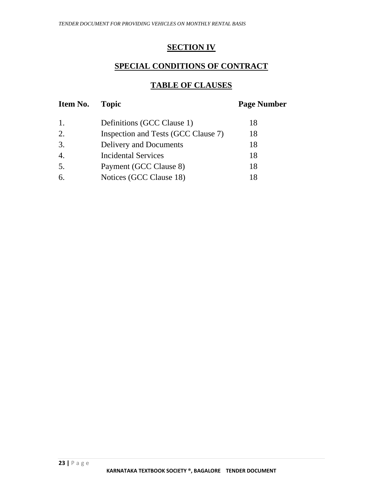#### **SECTION IV**

#### **SPECIAL CONDITIONS OF CONTRACT**

#### **TABLE OF CLAUSES**

| Item No. | <b>Topic</b>                        | <b>Page Number</b> |
|----------|-------------------------------------|--------------------|
| 1.       | Definitions (GCC Clause 1)          | 18                 |
| 2.       | Inspection and Tests (GCC Clause 7) | 18                 |
| 3.       | Delivery and Documents              | 18                 |
| 4.       | <b>Incidental Services</b>          | 18                 |
| 5.       | Payment (GCC Clause 8)              | 18                 |
| 6.       | Notices (GCC Clause 18)             | 18                 |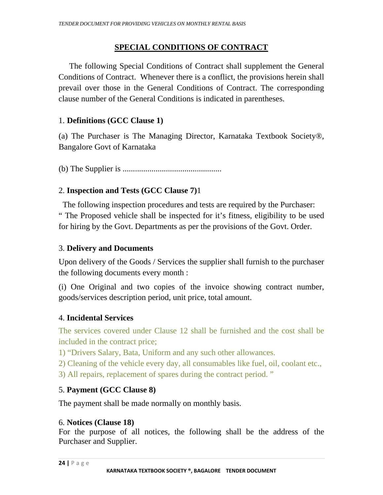#### **SPECIAL CONDITIONS OF CONTRACT**

The following Special Conditions of Contract shall supplement the General Conditions of Contract. Whenever there is a conflict, the provisions herein shall prevail over those in the General Conditions of Contract. The corresponding clause number of the General Conditions is indicated in parentheses.

#### 1. **Definitions (GCC Clause 1)**

(a) The Purchaser is The Managing Director, Karnataka Textbook Society®, Bangalore Govt of Karnataka

(b) The Supplier is ................................................

#### 2. **Inspection and Tests (GCC Clause 7)**1

 The following inspection procedures and tests are required by the Purchaser: " The Proposed vehicle shall be inspected for it's fitness, eligibility to be used for hiring by the Govt. Departments as per the provisions of the Govt. Order.

#### 3. **Delivery and Documents**

Upon delivery of the Goods / Services the supplier shall furnish to the purchaser the following documents every month :

(i) One Original and two copies of the invoice showing contract number, goods/services description period, unit price, total amount.

#### 4. **Incidental Services**

The services covered under Clause 12 shall be furnished and the cost shall be included in the contract price;

1) "Drivers Salary, Bata, Uniform and any such other allowances.

- 2) Cleaning of the vehicle every day, all consumables like fuel, oil, coolant etc.,
- 3) All repairs, replacement of spares during the contract period. "

#### 5. **Payment (GCC Clause 8)**

The payment shall be made normally on monthly basis.

#### 6. **Notices (Clause 18)**

For the purpose of all notices, the following shall be the address of the Purchaser and Supplier.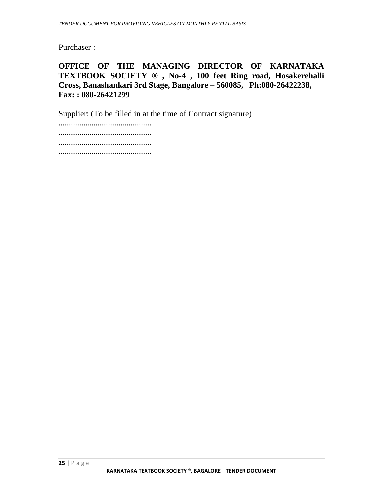Purchaser :

#### **OFFICE OF THE MANAGING DIRECTOR OF KARNATAKA TEXTBOOK SOCIETY ® , No-4 , 100 feet Ring road, Hosakerehalli Cross, Banashankari 3rd Stage, Bangalore – 560085, Ph:080-26422238, Fax: : 080-26421299**

Supplier: (To be filled in at the time of Contract signature)

............................................. ............................................. ............................................. .............................................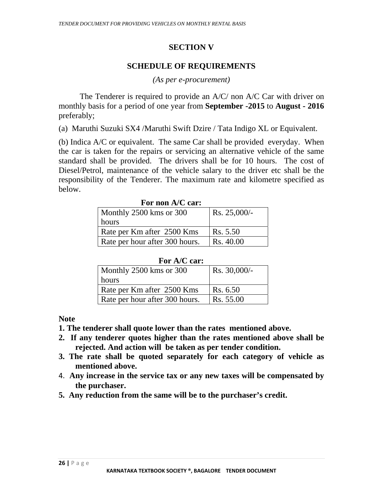#### **SECTION V**

#### **SCHEDULE OF REQUIREMENTS**

*(As per e-procurement)* 

The Tenderer is required to provide an A/C/ non A/C Car with driver on monthly basis for a period of one year from **September -2015** to **August - 2016** preferably;

(a) Maruthi Suzuki SX4 /Maruthi Swift Dzire / Tata Indigo XL or Equivalent.

(b) Indica A/C or equivalent. The same Car shall be provided everyday. When the car is taken for the repairs or servicing an alternative vehicle of the same standard shall be provided. The drivers shall be for 10 hours. The cost of Diesel/Petrol, maintenance of the vehicle salary to the driver etc shall be the responsibility of the Tenderer. The maximum rate and kilometre specified as below.

| FUL HUILA/U CAL.               |                 |
|--------------------------------|-----------------|
| Monthly 2500 kms or 300        | $Rs. 25,000/$ - |
| hours                          |                 |
| Rate per Km after 2500 Kms     | Rs. 5.50        |
| Rate per hour after 300 hours. | Rs. 40.00       |

 **For non A/C car:** 

| Monthly 2500 kms or 300        | $Rs. 30,000/-$ |
|--------------------------------|----------------|
| hours                          |                |
| Rate per Km after 2500 Kms     | Rs. 6.50       |
| Rate per hour after 300 hours. | Rs. 55.00      |

**Note** 

- **1. The tenderer shall quote lower than the rates mentioned above.**
- **2. If any tenderer quotes higher than the rates mentioned above shall be rejected. And action will be taken as per tender condition.**
- **3. The rate shall be quoted separately for each category of vehicle as mentioned above.**
- 4. **Any increase in the service tax or any new taxes will be compensated by the purchaser.**
- **5. Any reduction from the same will be to the purchaser's credit.**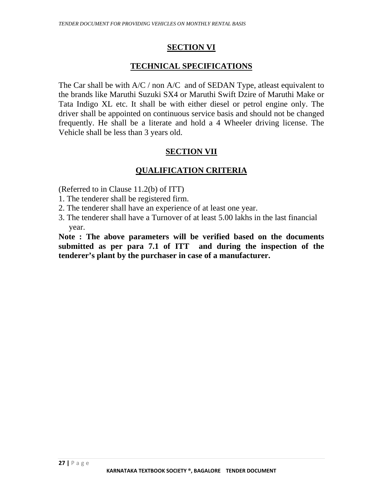#### **SECTION VI**

#### **TECHNICAL SPECIFICATIONS**

The Car shall be with  $A/C / \text{non } A/C$  and of SEDAN Type, at least equivalent to the brands like Maruthi Suzuki SX4 or Maruthi Swift Dzire of Maruthi Make or Tata Indigo XL etc. It shall be with either diesel or petrol engine only. The driver shall be appointed on continuous service basis and should not be changed frequently. He shall be a literate and hold a 4 Wheeler driving license. The Vehicle shall be less than 3 years old.

#### **SECTION VII**

#### **QUALIFICATION CRITERIA**

(Referred to in Clause 11.2(b) of ITT)

- 1. The tenderer shall be registered firm.
- 2. The tenderer shall have an experience of at least one year.
- 3. The tenderer shall have a Turnover of at least 5.00 lakhs in the last financial year.

**Note : The above parameters will be verified based on the documents submitted as per para 7.1 of ITT and during the inspection of the tenderer's plant by the purchaser in case of a manufacturer.**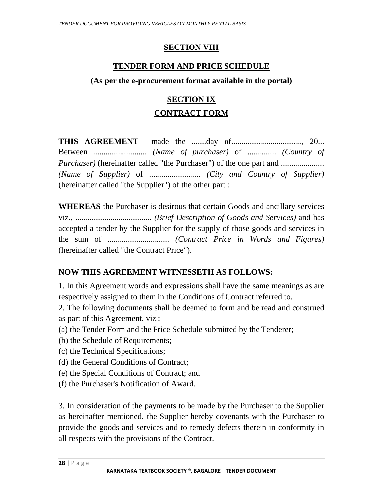#### **SECTION VIII**

#### **TENDER FORM AND PRICE SCHEDULE**

#### **(As per the e-procurement format available in the portal)**

#### **SECTION IX**

#### **CONTRACT FORM**

**THIS AGREEMENT** made the .......day of.................................., 20... Between .......................... *(Name of purchaser)* of .............. *(Country of Purchaser)* (hereinafter called "the Purchaser") of the one part and ..................... *(Name of Supplier)* of ......................... *(City and Country of Supplier)*  (hereinafter called "the Supplier") of the other part :

**WHEREAS** the Purchaser is desirous that certain Goods and ancillary services viz., ..................................... *(Brief Description of Goods and Services)* and has accepted a tender by the Supplier for the supply of those goods and services in the sum of .............................. *(Contract Price in Words and Figures)*  (hereinafter called "the Contract Price").

#### **NOW THIS AGREEMENT WITNESSETH AS FOLLOWS:**

1. In this Agreement words and expressions shall have the same meanings as are respectively assigned to them in the Conditions of Contract referred to.

- 2. The following documents shall be deemed to form and be read and construed as part of this Agreement, viz.:
- (a) the Tender Form and the Price Schedule submitted by the Tenderer;
- (b) the Schedule of Requirements;
- (c) the Technical Specifications;
- (d) the General Conditions of Contract;
- (e) the Special Conditions of Contract; and
- (f) the Purchaser's Notification of Award.

3. In consideration of the payments to be made by the Purchaser to the Supplier as hereinafter mentioned, the Supplier hereby covenants with the Purchaser to provide the goods and services and to remedy defects therein in conformity in all respects with the provisions of the Contract.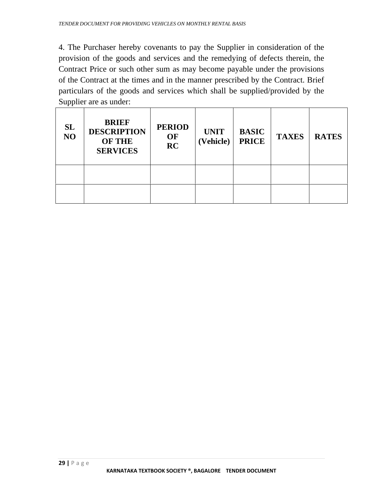4. The Purchaser hereby covenants to pay the Supplier in consideration of the provision of the goods and services and the remedying of defects therein, the Contract Price or such other sum as may become payable under the provisions of the Contract at the times and in the manner prescribed by the Contract. Brief particulars of the goods and services which shall be supplied/provided by the Supplier are as under:

| SL<br>NO | <b>BRIEF</b><br><b>DESCRIPTION</b><br><b>OF THE</b><br><b>SERVICES</b> | <b>PERIOD</b><br>OF<br>RC | <b>UNIT</b><br>(Vehicle) | <b>BASIC</b><br><b>PRICE</b> | <b>TAXES</b> | <b>RATES</b> |
|----------|------------------------------------------------------------------------|---------------------------|--------------------------|------------------------------|--------------|--------------|
|          |                                                                        |                           |                          |                              |              |              |
|          |                                                                        |                           |                          |                              |              |              |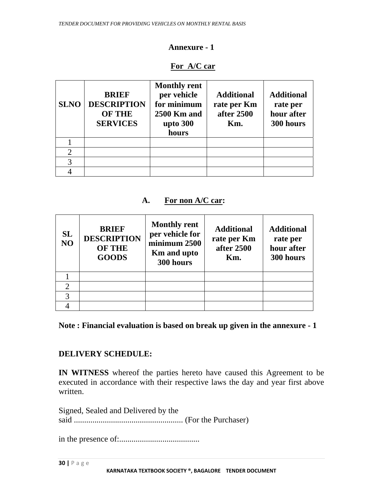#### **Annexure - 1**

#### **For A/C car**

| <b>SLNO</b> | <b>BRIEF</b><br><b>DESCRIPTION</b><br><b>OF THE</b><br><b>SERVICES</b> | <b>Monthly rent</b><br>per vehicle<br>for minimum<br><b>2500 Km and</b><br>upto 300<br>hours | <b>Additional</b><br>rate per Km<br>after 2500<br>Km. | <b>Additional</b><br>rate per<br>hour after<br>300 hours |
|-------------|------------------------------------------------------------------------|----------------------------------------------------------------------------------------------|-------------------------------------------------------|----------------------------------------------------------|
|             |                                                                        |                                                                                              |                                                       |                                                          |
| 2           |                                                                        |                                                                                              |                                                       |                                                          |
| 3           |                                                                        |                                                                                              |                                                       |                                                          |
|             |                                                                        |                                                                                              |                                                       |                                                          |

#### **A. For non A/C car:**

| SL<br>NO | <b>BRIEF</b><br><b>DESCRIPTION</b><br><b>OF THE</b><br><b>GOODS</b> | <b>Monthly rent</b><br>per vehicle for<br>minimum 2500<br><b>Km</b> and upto<br>300 hours | <b>Additional</b><br>rate per Km<br>after 2500<br>Km. | <b>Additional</b><br>rate per<br>hour after<br>300 hours |
|----------|---------------------------------------------------------------------|-------------------------------------------------------------------------------------------|-------------------------------------------------------|----------------------------------------------------------|
|          |                                                                     |                                                                                           |                                                       |                                                          |
|          |                                                                     |                                                                                           |                                                       |                                                          |
| 3        |                                                                     |                                                                                           |                                                       |                                                          |
|          |                                                                     |                                                                                           |                                                       |                                                          |

**Note : Financial evaluation is based on break up given in the annexure - 1** 

#### **DELIVERY SCHEDULE:**

**IN WITNESS** whereof the parties hereto have caused this Agreement to be executed in accordance with their respective laws the day and year first above written.

Signed, Sealed and Delivered by the said ..................................................... (For the Purchaser)

in the presence of:.......................................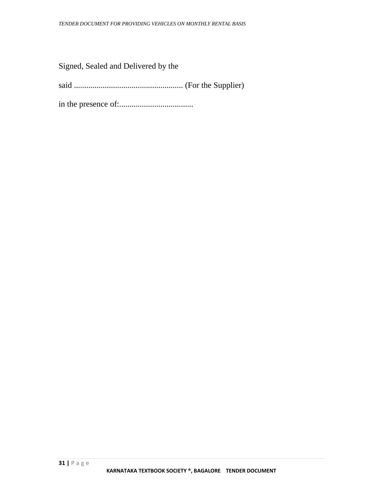Signed, Sealed and Delivered by the

said ..................................................... (For the Supplier)

in the presence of:....................................